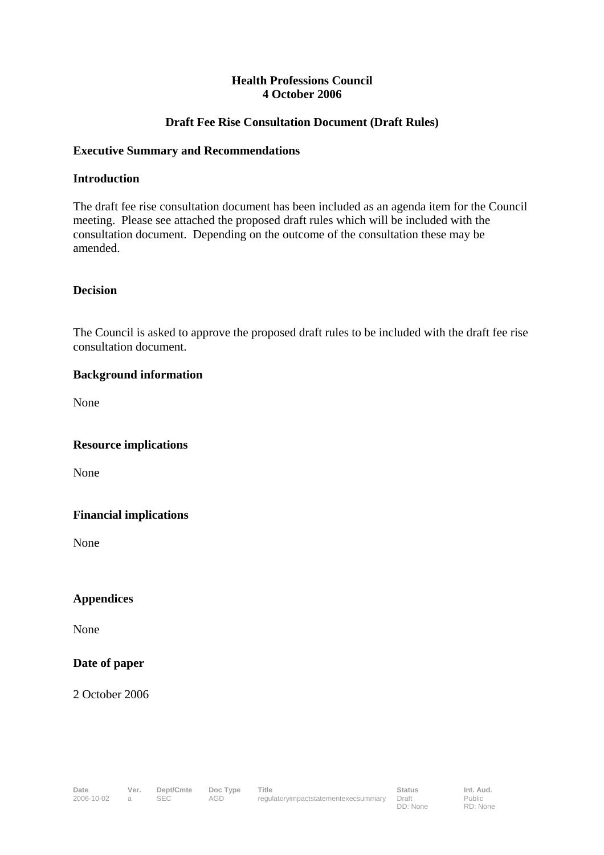## **Health Professions Council 4 October 2006**

# **Draft Fee Rise Consultation Document (Draft Rules)**

#### **Executive Summary and Recommendations**

#### **Introduction**

The draft fee rise consultation document has been included as an agenda item for the Council meeting. Please see attached the proposed draft rules which will be included with the consultation document. Depending on the outcome of the consultation these may be amended.

# **Decision**

The Council is asked to approve the proposed draft rules to be included with the draft fee rise consultation document.

## **Background information**

None

#### **Resource implications**

None

# **Financial implications**

None

# **Appendices**

None

# **Date of paper**

2 October 2006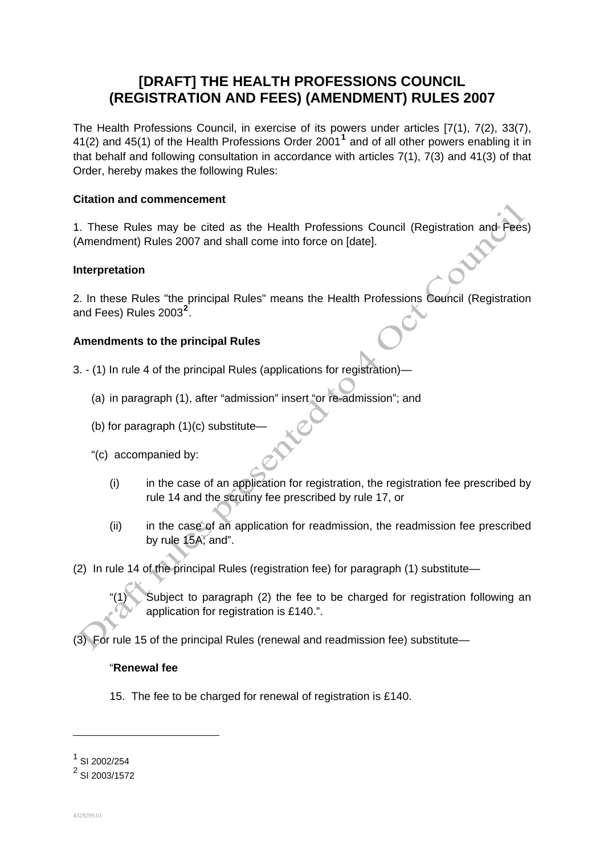# **[DRAFT] THE HEALTH PROFESSIONS COUNCIL (REGISTRATION AND FEES) (AMENDMENT) RULES 2007**

The Health Professions Council, in exercise of its powers under articles [7(1), 7(2), 33(7), 41(2) and 45(1) of the Health Professions Order 2001**<sup>1</sup>** and of all other powers enabling it in that behalf and following consultation in accordance with articles 7(1), 7(3) and 41(3) of that Order, hereby makes the following Rules:

## **Citation and commencement**

1. These Rules may be cited as the Health Professions Council (Registration and Fees) (Amendment) Rules 2007 and shall come into force on [date].

## **Interpretation**

2. In these Rules "the principal Rules" means the Health Professions Council (Registration and Fees) Rules 2003**<sup>2</sup>** .

## **Amendments to the principal Rules**

- 3. (1) In rule 4 of the principal Rules (applications for registration)—
	- (a) in paragraph (1), after "admission" insert "or re-admission"; and
	- (b) for paragraph  $(1)(c)$  substitute-
	- "(c) accompanied by:
		- (i) in the case of an application for registration, the registration fee prescribed by rule 14 and the scrutiny fee prescribed by rule 17, or
		- (ii) in the case of an application for readmission, the readmission fee prescribed by rule 15A; and".
- (2) In rule 14 of the principal Rules (registration fee) for paragraph (1) substitute—
	- Subiect to paragraph (2) the fee to be charged for registration following an application for registration is £140.".

(3) For rule 15 of the principal Rules (renewal and readmission fee) substitute—

#### "**Renewal fee**

15. The fee to be charged for renewal of registration is £140.

 $\overline{a}$ 

<sup>1</sup> SI 2002/254

<sup>&</sup>lt;sup>2</sup> SI 2003/1572